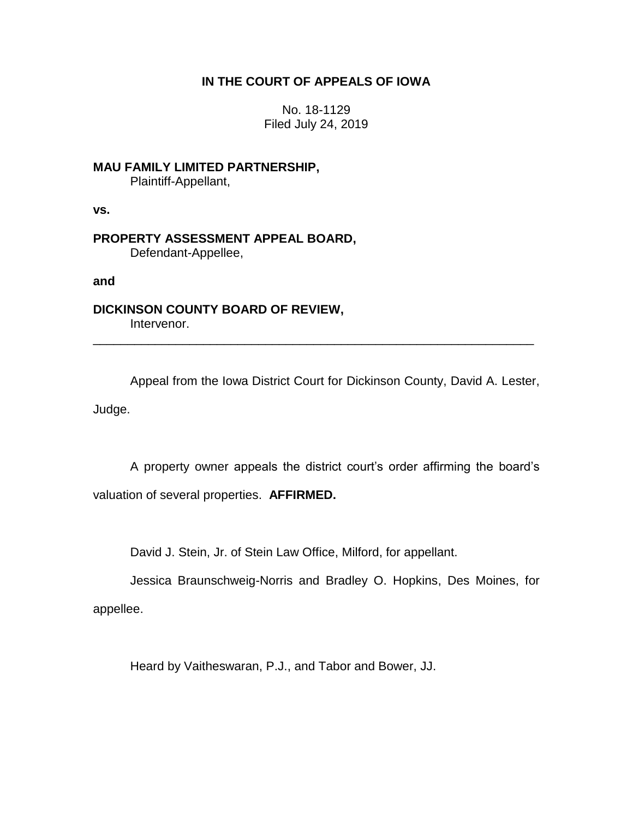# **IN THE COURT OF APPEALS OF IOWA**

No. 18-1129 Filed July 24, 2019

**MAU FAMILY LIMITED PARTNERSHIP,** Plaintiff-Appellant,

**vs.**

**PROPERTY ASSESSMENT APPEAL BOARD,** Defendant-Appellee,

**and**

**DICKINSON COUNTY BOARD OF REVIEW,** Intervenor.

Appeal from the Iowa District Court for Dickinson County, David A. Lester, Judge.

\_\_\_\_\_\_\_\_\_\_\_\_\_\_\_\_\_\_\_\_\_\_\_\_\_\_\_\_\_\_\_\_\_\_\_\_\_\_\_\_\_\_\_\_\_\_\_\_\_\_\_\_\_\_\_\_\_\_\_\_\_\_\_\_

A property owner appeals the district court's order affirming the board's valuation of several properties. **AFFIRMED.**

David J. Stein, Jr. of Stein Law Office, Milford, for appellant.

Jessica Braunschweig-Norris and Bradley O. Hopkins, Des Moines, for appellee.

Heard by Vaitheswaran, P.J., and Tabor and Bower, JJ.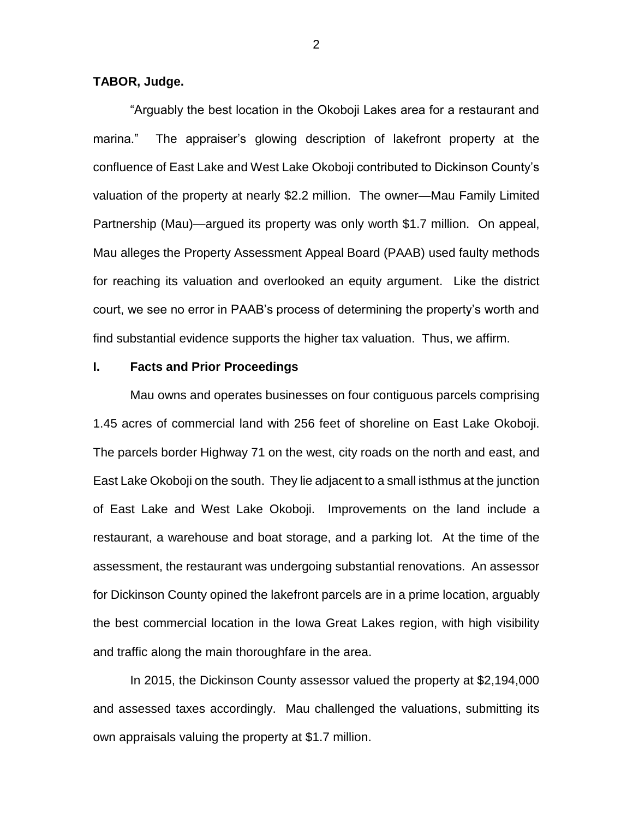# **TABOR, Judge.**

"Arguably the best location in the Okoboji Lakes area for a restaurant and marina." The appraiser's glowing description of lakefront property at the confluence of East Lake and West Lake Okoboji contributed to Dickinson County's valuation of the property at nearly \$2.2 million. The owner—Mau Family Limited Partnership (Mau)—argued its property was only worth \$1.7 million. On appeal, Mau alleges the Property Assessment Appeal Board (PAAB) used faulty methods for reaching its valuation and overlooked an equity argument. Like the district court, we see no error in PAAB's process of determining the property's worth and find substantial evidence supports the higher tax valuation. Thus, we affirm.

## **I. Facts and Prior Proceedings**

Mau owns and operates businesses on four contiguous parcels comprising 1.45 acres of commercial land with 256 feet of shoreline on East Lake Okoboji. The parcels border Highway 71 on the west, city roads on the north and east, and East Lake Okoboji on the south. They lie adjacent to a small isthmus at the junction of East Lake and West Lake Okoboji. Improvements on the land include a restaurant, a warehouse and boat storage, and a parking lot. At the time of the assessment, the restaurant was undergoing substantial renovations. An assessor for Dickinson County opined the lakefront parcels are in a prime location, arguably the best commercial location in the Iowa Great Lakes region, with high visibility and traffic along the main thoroughfare in the area.

In 2015, the Dickinson County assessor valued the property at \$2,194,000 and assessed taxes accordingly. Mau challenged the valuations, submitting its own appraisals valuing the property at \$1.7 million.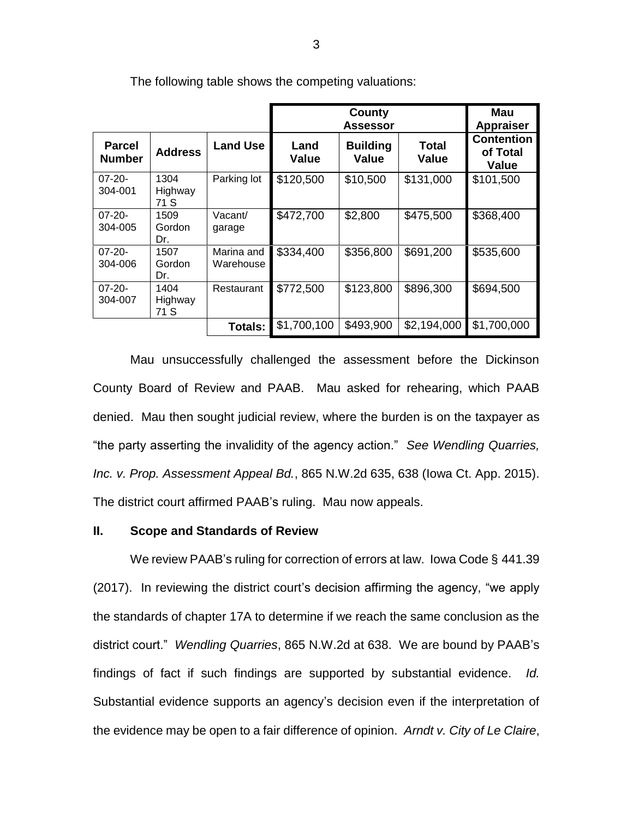|                                |                         |                         | County<br><b>Assessor</b> |                          |                       | Mau<br><b>Appraiser</b>                |
|--------------------------------|-------------------------|-------------------------|---------------------------|--------------------------|-----------------------|----------------------------------------|
| <b>Parcel</b><br><b>Number</b> | <b>Address</b>          | <b>Land Use</b>         | Land<br><b>Value</b>      | <b>Building</b><br>Value | Total<br><b>Value</b> | <b>Contention</b><br>of Total<br>Value |
| $07 - 20 -$<br>304-001         | 1304<br>Highway<br>71 S | Parking lot             | \$120,500                 | \$10,500                 | \$131,000             | \$101,500                              |
| $07 - 20 -$<br>304-005         | 1509<br>Gordon<br>Dr.   | Vacant/<br>garage       | \$472,700                 | \$2,800                  | \$475,500             | \$368,400                              |
| $07 - 20 -$<br>304-006         | 1507<br>Gordon<br>Dr.   | Marina and<br>Warehouse | \$334,400                 | \$356,800                | \$691,200             | \$535,600                              |
| $07 - 20 -$<br>304-007         | 1404<br>Highway<br>71 S | Restaurant              | \$772,500                 | \$123,800                | \$896,300             | \$694,500                              |
|                                |                         | <b>Totals:</b>          | \$1,700,100               | \$493,900                | \$2,194,000           | \$1,700,000                            |

The following table shows the competing valuations:

Mau unsuccessfully challenged the assessment before the Dickinson County Board of Review and PAAB. Mau asked for rehearing, which PAAB denied. Mau then sought judicial review, where the burden is on the taxpayer as "the party asserting the invalidity of the agency action." *See Wendling Quarries, Inc. v. Prop. Assessment Appeal Bd.*, 865 N.W.2d 635, 638 (Iowa Ct. App. 2015). The district court affirmed PAAB's ruling. Mau now appeals.

## **II. Scope and Standards of Review**

We review PAAB's ruling for correction of errors at law. Iowa Code § 441.39 (2017). In reviewing the district court's decision affirming the agency, "we apply the standards of chapter 17A to determine if we reach the same conclusion as the district court." *Wendling Quarries*, 865 N.W.2d at 638. We are bound by PAAB's findings of fact if such findings are supported by substantial evidence. *Id.* Substantial evidence supports an agency's decision even if the interpretation of the evidence may be open to a fair difference of opinion. *Arndt v. City of Le Claire*,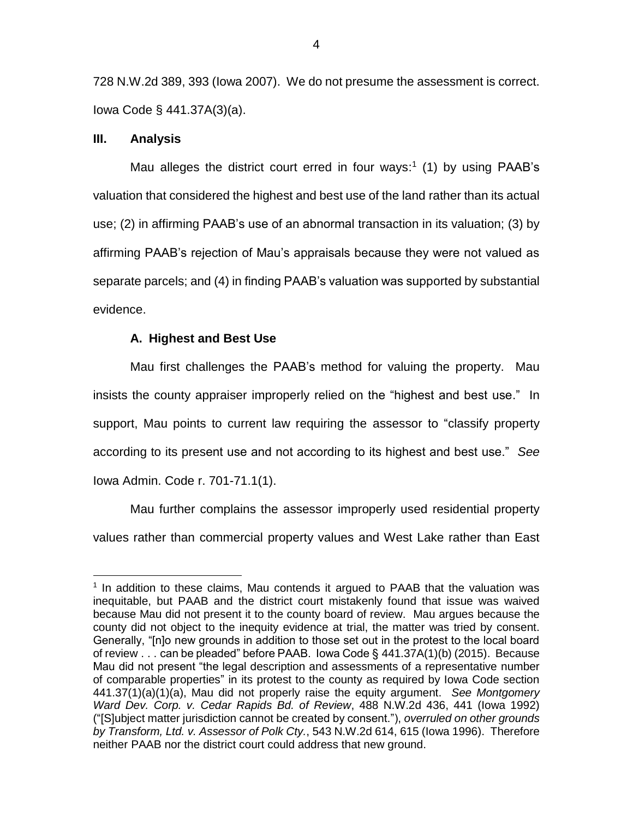728 N.W.2d 389, 393 (Iowa 2007). We do not presume the assessment is correct. Iowa Code § 441.37A(3)(a).

## **III. Analysis**

 $\overline{a}$ 

Mau alleges the district court erred in four ways:<sup>1</sup> (1) by using PAAB's valuation that considered the highest and best use of the land rather than its actual use; (2) in affirming PAAB's use of an abnormal transaction in its valuation; (3) by affirming PAAB's rejection of Mau's appraisals because they were not valued as separate parcels; and (4) in finding PAAB's valuation was supported by substantial evidence.

## **A. Highest and Best Use**

Mau first challenges the PAAB's method for valuing the property. Mau insists the county appraiser improperly relied on the "highest and best use." In support, Mau points to current law requiring the assessor to "classify property according to its present use and not according to its highest and best use." *See*  Iowa Admin. Code r. 701-71.1(1).

Mau further complains the assessor improperly used residential property values rather than commercial property values and West Lake rather than East

<sup>&</sup>lt;sup>1</sup> In addition to these claims, Mau contends it argued to PAAB that the valuation was inequitable, but PAAB and the district court mistakenly found that issue was waived because Mau did not present it to the county board of review. Mau argues because the county did not object to the inequity evidence at trial, the matter was tried by consent. Generally, "[n]o new grounds in addition to those set out in the protest to the local board of review . . . can be pleaded" before PAAB. Iowa Code § 441.37A(1)(b) (2015). Because Mau did not present "the legal description and assessments of a representative number of comparable properties" in its protest to the county as required by Iowa Code section 441.37(1)(a)(1)(a), Mau did not properly raise the equity argument. *See Montgomery Ward Dev. Corp. v. Cedar Rapids Bd. of Review*, 488 N.W.2d 436, 441 (Iowa 1992) ("[S]ubject matter jurisdiction cannot be created by consent."), *overruled on other grounds by Transform, Ltd. v. Assessor of Polk Cty.*, 543 N.W.2d 614, 615 (Iowa 1996). Therefore neither PAAB nor the district court could address that new ground.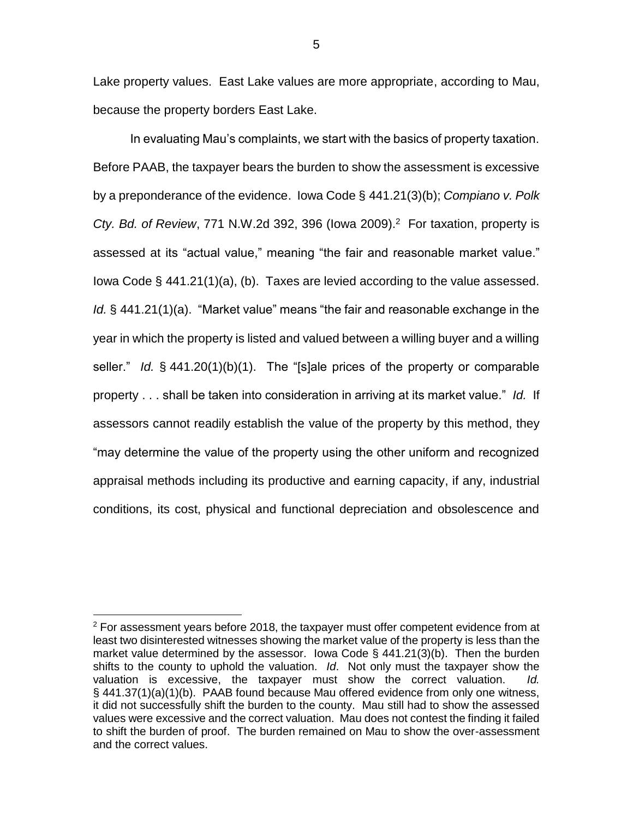Lake property values. East Lake values are more appropriate, according to Mau, because the property borders East Lake.

In evaluating Mau's complaints, we start with the basics of property taxation. Before PAAB, the taxpayer bears the burden to show the assessment is excessive by a preponderance of the evidence. Iowa Code § 441.21(3)(b); *Compiano v. Polk Cty. Bd. of Review*, 771 N.W.2d 392, 396 (Iowa 2009). 2 For taxation, property is assessed at its "actual value," meaning "the fair and reasonable market value." Iowa Code § 441.21(1)(a), (b). Taxes are levied according to the value assessed. *Id.* § 441.21(1)(a). "Market value" means "the fair and reasonable exchange in the year in which the property is listed and valued between a willing buyer and a willing seller." *Id.* § 441.20(1)(b)(1). The "[s]ale prices of the property or comparable property . . . shall be taken into consideration in arriving at its market value." *Id.* If assessors cannot readily establish the value of the property by this method, they "may determine the value of the property using the other uniform and recognized appraisal methods including its productive and earning capacity, if any, industrial conditions, its cost, physical and functional depreciation and obsolescence and

 $\overline{a}$ 

 $2$  For assessment years before 2018, the taxpayer must offer competent evidence from at least two disinterested witnesses showing the market value of the property is less than the market value determined by the assessor. Iowa Code § 441.21(3)(b). Then the burden shifts to the county to uphold the valuation. *Id*. Not only must the taxpayer show the valuation is excessive, the taxpayer must show the correct valuation. *Id.* § 441.37(1)(a)(1)(b). PAAB found because Mau offered evidence from only one witness, it did not successfully shift the burden to the county. Mau still had to show the assessed values were excessive and the correct valuation.Mau does not contest the finding it failed to shift the burden of proof. The burden remained on Mau to show the over-assessment and the correct values.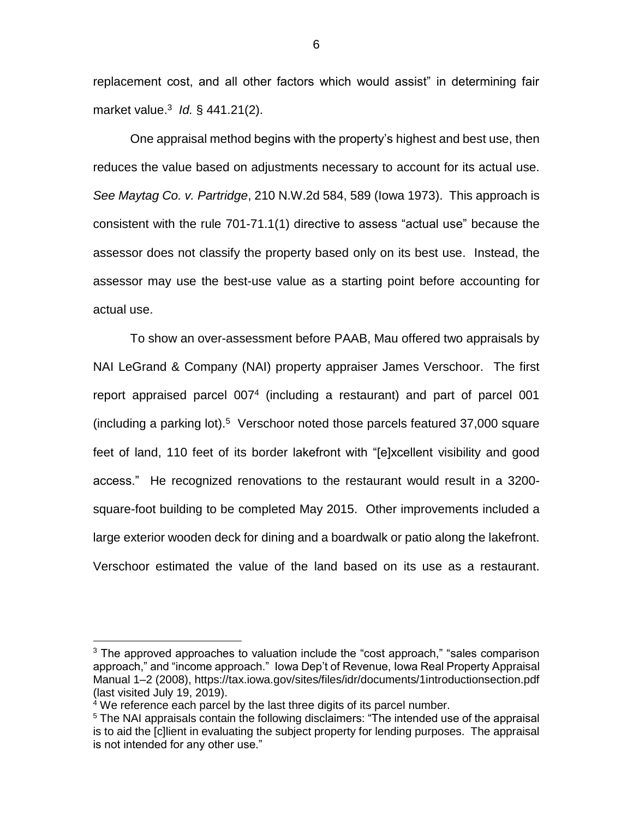replacement cost, and all other factors which would assist" in determining fair market value.<sup>3</sup> *Id.* § 441.21(2).

One appraisal method begins with the property's highest and best use, then reduces the value based on adjustments necessary to account for its actual use. *See Maytag Co. v. Partridge*, 210 N.W.2d 584, 589 (Iowa 1973). This approach is consistent with the rule 701-71.1(1) directive to assess "actual use" because the assessor does not classify the property based only on its best use. Instead, the assessor may use the best-use value as a starting point before accounting for actual use.

To show an over-assessment before PAAB, Mau offered two appraisals by NAI LeGrand & Company (NAI) property appraiser James Verschoor. The first report appraised parcel 007<sup>4</sup> (including a restaurant) and part of parcel 001 (including a parking lot). 5 Verschoor noted those parcels featured 37,000 square feet of land, 110 feet of its border lakefront with "[e]xcellent visibility and good access." He recognized renovations to the restaurant would result in a 3200 square-foot building to be completed May 2015. Other improvements included a large exterior wooden deck for dining and a boardwalk or patio along the lakefront. Verschoor estimated the value of the land based on its use as a restaurant.

 $\overline{a}$ 

 $3$  The approved approaches to valuation include the "cost approach," "sales comparison approach," and "income approach." Iowa Dep't of Revenue, Iowa Real Property Appraisal Manual 1–2 (2008), https://tax.iowa.gov/sites/files/idr/documents/1introductionsection.pdf (last visited July 19, 2019).

 $4$  We reference each parcel by the last three digits of its parcel number.

<sup>&</sup>lt;sup>5</sup> The NAI appraisals contain the following disclaimers: "The intended use of the appraisal is to aid the [c]lient in evaluating the subject property for lending purposes. The appraisal is not intended for any other use."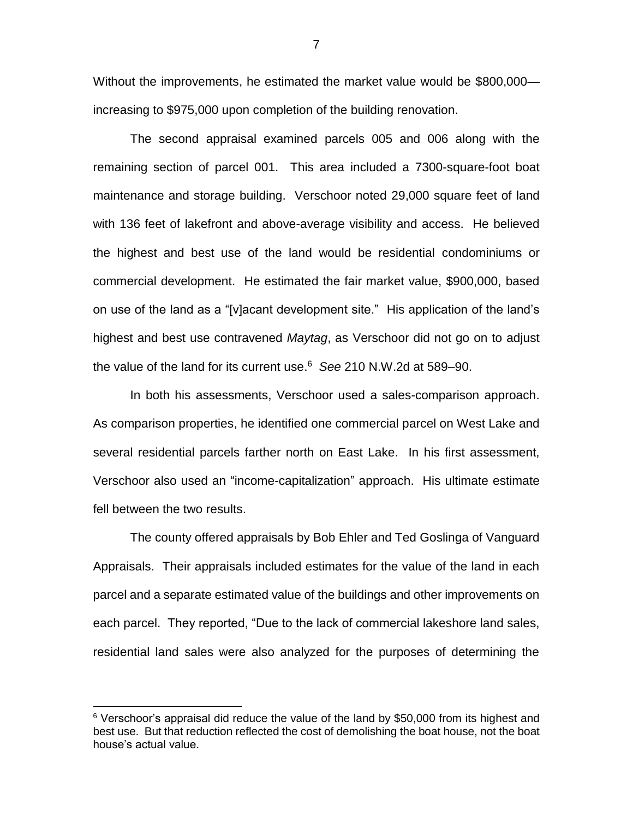Without the improvements, he estimated the market value would be \$800,000 increasing to \$975,000 upon completion of the building renovation.

The second appraisal examined parcels 005 and 006 along with the remaining section of parcel 001. This area included a 7300-square-foot boat maintenance and storage building. Verschoor noted 29,000 square feet of land with 136 feet of lakefront and above-average visibility and access. He believed the highest and best use of the land would be residential condominiums or commercial development. He estimated the fair market value, \$900,000, based on use of the land as a "[v]acant development site." His application of the land's highest and best use contravened *Maytag*, as Verschoor did not go on to adjust the value of the land for its current use. 6 *See* 210 N.W.2d at 589–90.

In both his assessments, Verschoor used a sales-comparison approach. As comparison properties, he identified one commercial parcel on West Lake and several residential parcels farther north on East Lake. In his first assessment, Verschoor also used an "income-capitalization" approach. His ultimate estimate fell between the two results.

The county offered appraisals by Bob Ehler and Ted Goslinga of Vanguard Appraisals. Their appraisals included estimates for the value of the land in each parcel and a separate estimated value of the buildings and other improvements on each parcel. They reported, "Due to the lack of commercial lakeshore land sales, residential land sales were also analyzed for the purposes of determining the

 $\overline{a}$ 

 $6$  Verschoor's appraisal did reduce the value of the land by \$50,000 from its highest and best use. But that reduction reflected the cost of demolishing the boat house, not the boat house's actual value.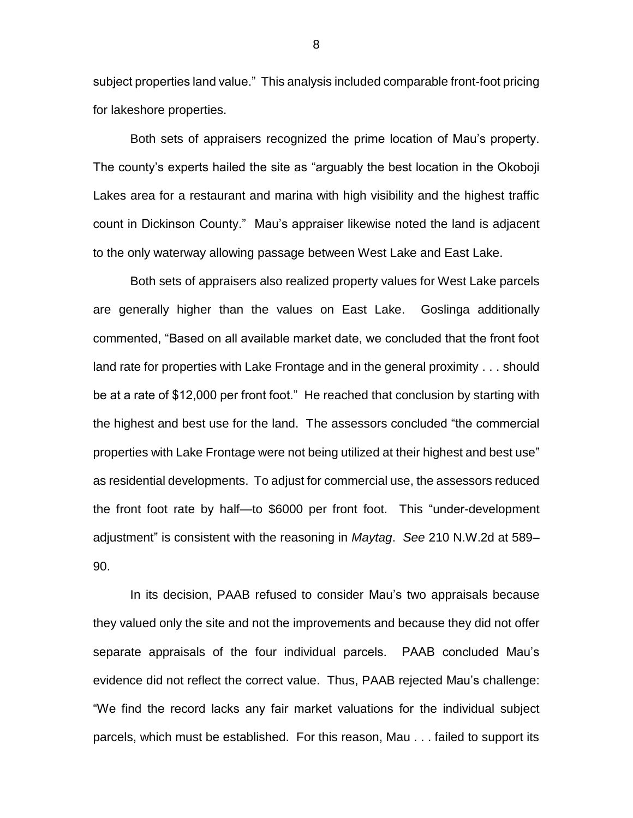subject properties land value." This analysis included comparable front-foot pricing for lakeshore properties.

Both sets of appraisers recognized the prime location of Mau's property. The county's experts hailed the site as "arguably the best location in the Okoboji Lakes area for a restaurant and marina with high visibility and the highest traffic count in Dickinson County." Mau's appraiser likewise noted the land is adjacent to the only waterway allowing passage between West Lake and East Lake.

Both sets of appraisers also realized property values for West Lake parcels are generally higher than the values on East Lake. Goslinga additionally commented, "Based on all available market date, we concluded that the front foot land rate for properties with Lake Frontage and in the general proximity . . . should be at a rate of \$12,000 per front foot." He reached that conclusion by starting with the highest and best use for the land. The assessors concluded "the commercial properties with Lake Frontage were not being utilized at their highest and best use" as residential developments. To adjust for commercial use, the assessors reduced the front foot rate by half—to \$6000 per front foot. This "under-development adjustment" is consistent with the reasoning in *Maytag*. *See* 210 N.W.2d at 589– 90.

In its decision, PAAB refused to consider Mau's two appraisals because they valued only the site and not the improvements and because they did not offer separate appraisals of the four individual parcels. PAAB concluded Mau's evidence did not reflect the correct value. Thus, PAAB rejected Mau's challenge: "We find the record lacks any fair market valuations for the individual subject parcels, which must be established. For this reason, Mau . . . failed to support its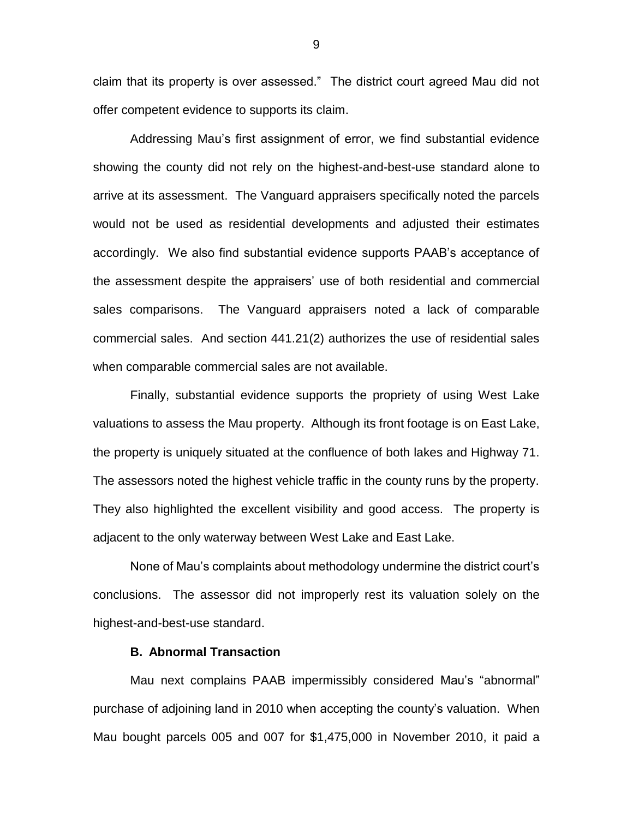claim that its property is over assessed." The district court agreed Mau did not offer competent evidence to supports its claim.

Addressing Mau's first assignment of error, we find substantial evidence showing the county did not rely on the highest-and-best-use standard alone to arrive at its assessment. The Vanguard appraisers specifically noted the parcels would not be used as residential developments and adjusted their estimates accordingly. We also find substantial evidence supports PAAB's acceptance of the assessment despite the appraisers' use of both residential and commercial sales comparisons. The Vanguard appraisers noted a lack of comparable commercial sales. And section 441.21(2) authorizes the use of residential sales when comparable commercial sales are not available.

Finally, substantial evidence supports the propriety of using West Lake valuations to assess the Mau property. Although its front footage is on East Lake, the property is uniquely situated at the confluence of both lakes and Highway 71. The assessors noted the highest vehicle traffic in the county runs by the property. They also highlighted the excellent visibility and good access. The property is adjacent to the only waterway between West Lake and East Lake.

None of Mau's complaints about methodology undermine the district court's conclusions. The assessor did not improperly rest its valuation solely on the highest-and-best-use standard.

### **B. Abnormal Transaction**

Mau next complains PAAB impermissibly considered Mau's "abnormal" purchase of adjoining land in 2010 when accepting the county's valuation. When Mau bought parcels 005 and 007 for \$1,475,000 in November 2010, it paid a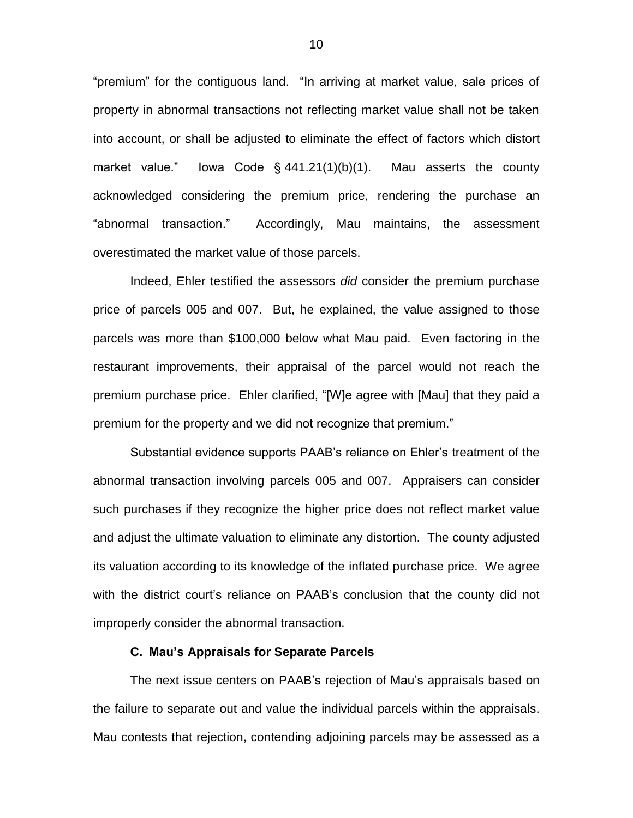"premium" for the contiguous land. "In arriving at market value, sale prices of property in abnormal transactions not reflecting market value shall not be taken into account, or shall be adjusted to eliminate the effect of factors which distort market value." Iowa Code § 441.21(1)(b)(1). Mau asserts the county acknowledged considering the premium price, rendering the purchase an "abnormal transaction." Accordingly, Mau maintains, the assessment overestimated the market value of those parcels.

Indeed, Ehler testified the assessors *did* consider the premium purchase price of parcels 005 and 007. But, he explained, the value assigned to those parcels was more than \$100,000 below what Mau paid. Even factoring in the restaurant improvements, their appraisal of the parcel would not reach the premium purchase price. Ehler clarified, "[W]e agree with [Mau] that they paid a premium for the property and we did not recognize that premium."

Substantial evidence supports PAAB's reliance on Ehler's treatment of the abnormal transaction involving parcels 005 and 007. Appraisers can consider such purchases if they recognize the higher price does not reflect market value and adjust the ultimate valuation to eliminate any distortion. The county adjusted its valuation according to its knowledge of the inflated purchase price. We agree with the district court's reliance on PAAB's conclusion that the county did not improperly consider the abnormal transaction.

## **C. Mau's Appraisals for Separate Parcels**

The next issue centers on PAAB's rejection of Mau's appraisals based on the failure to separate out and value the individual parcels within the appraisals. Mau contests that rejection, contending adjoining parcels may be assessed as a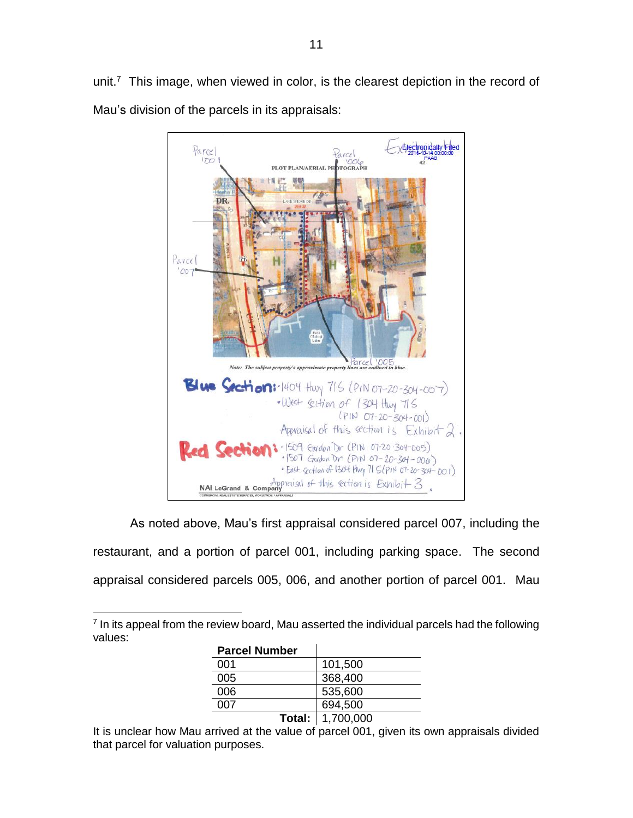11

unit.<sup>7</sup> This image, when viewed in color, is the clearest depiction in the record of Mau's division of the parcels in its appraisals:



As noted above, Mau's first appraisal considered parcel 007, including the restaurant, and a portion of parcel 001, including parking space. The second appraisal considered parcels 005, 006, and another portion of parcel 001. Mau

 $\overline{a}$  $<sup>7</sup>$  In its appeal from the review board, Mau asserted the individual parcels had the following</sup> values:

| <b>Parcel Number</b> |                           |  |
|----------------------|---------------------------|--|
| 001                  | 101,500                   |  |
| 005                  | 368,400                   |  |
| 006                  | 535,600                   |  |
| 007                  | 694,500                   |  |
|                      | <b>Total:</b>   1,700,000 |  |
|                      |                           |  |

It is unclear how Mau arrived at the value of parcel 001, given its own appraisals divided that parcel for valuation purposes.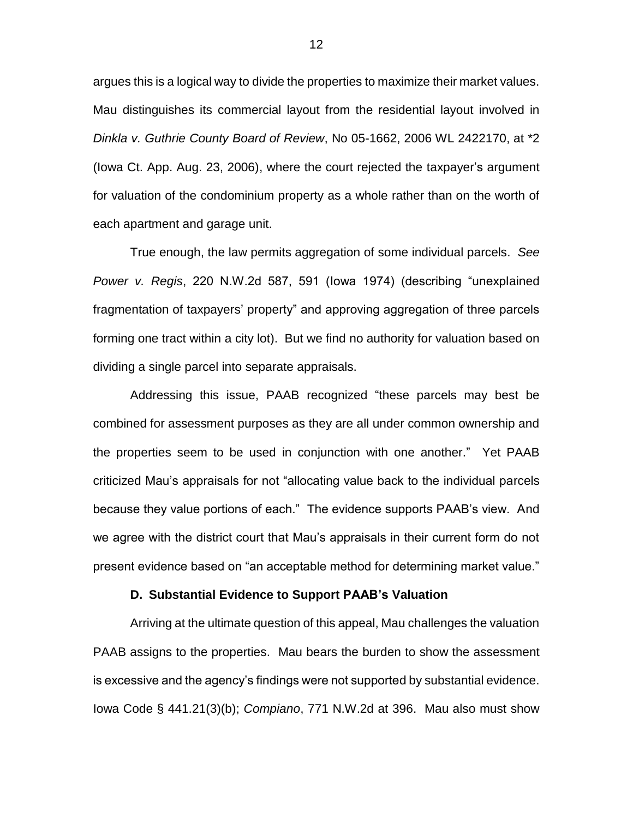argues this is a logical way to divide the properties to maximize their market values. Mau distinguishes its commercial layout from the residential layout involved in *Dinkla v. Guthrie County Board of Review*, No 05-1662, 2006 WL 2422170, at \*2 (Iowa Ct. App. Aug. 23, 2006), where the court rejected the taxpayer's argument for valuation of the condominium property as a whole rather than on the worth of each apartment and garage unit.

True enough, the law permits aggregation of some individual parcels. *See Power v. Regis*, 220 N.W.2d 587, 591 (Iowa 1974) (describing "unexplained fragmentation of taxpayers' property" and approving aggregation of three parcels forming one tract within a city lot). But we find no authority for valuation based on dividing a single parcel into separate appraisals.

Addressing this issue, PAAB recognized "these parcels may best be combined for assessment purposes as they are all under common ownership and the properties seem to be used in conjunction with one another." Yet PAAB criticized Mau's appraisals for not "allocating value back to the individual parcels because they value portions of each." The evidence supports PAAB's view. And we agree with the district court that Mau's appraisals in their current form do not present evidence based on "an acceptable method for determining market value."

#### **D. Substantial Evidence to Support PAAB's Valuation**

Arriving at the ultimate question of this appeal, Mau challenges the valuation PAAB assigns to the properties. Mau bears the burden to show the assessment is excessive and the agency's findings were not supported by substantial evidence. Iowa Code § 441.21(3)(b); *Compiano*, 771 N.W.2d at 396. Mau also must show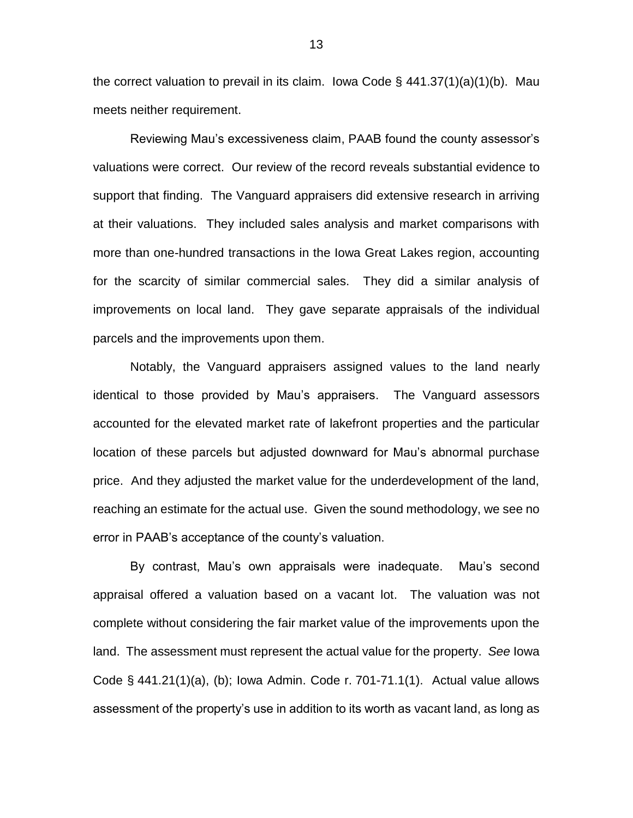the correct valuation to prevail in its claim. Iowa Code  $\S$  441.37(1)(a)(1)(b). Mau meets neither requirement.

Reviewing Mau's excessiveness claim, PAAB found the county assessor's valuations were correct. Our review of the record reveals substantial evidence to support that finding. The Vanguard appraisers did extensive research in arriving at their valuations. They included sales analysis and market comparisons with more than one-hundred transactions in the Iowa Great Lakes region, accounting for the scarcity of similar commercial sales. They did a similar analysis of improvements on local land. They gave separate appraisals of the individual parcels and the improvements upon them.

Notably, the Vanguard appraisers assigned values to the land nearly identical to those provided by Mau's appraisers. The Vanguard assessors accounted for the elevated market rate of lakefront properties and the particular location of these parcels but adjusted downward for Mau's abnormal purchase price. And they adjusted the market value for the underdevelopment of the land, reaching an estimate for the actual use. Given the sound methodology, we see no error in PAAB's acceptance of the county's valuation.

By contrast, Mau's own appraisals were inadequate. Mau's second appraisal offered a valuation based on a vacant lot. The valuation was not complete without considering the fair market value of the improvements upon the land. The assessment must represent the actual value for the property. *See* Iowa Code § 441.21(1)(a), (b); Iowa Admin. Code r. 701-71.1(1). Actual value allows assessment of the property's use in addition to its worth as vacant land, as long as